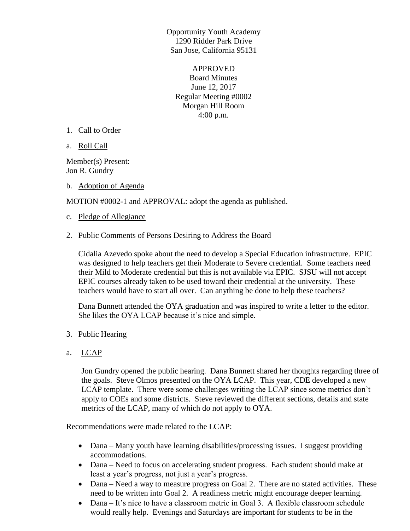Opportunity Youth Academy 1290 Ridder Park Drive San Jose, California 95131

APPROVED Board Minutes June 12, 2017 Regular Meeting #0002 Morgan Hill Room 4:00 p.m.

- 1. Call to Order
- a. Roll Call

Member(s) Present: Jon R. Gundry

b. Adoption of Agenda

MOTION #0002-1 and APPROVAL: adopt the agenda as published.

- c. Pledge of Allegiance
- 2. Public Comments of Persons Desiring to Address the Board

Cidalia Azevedo spoke about the need to develop a Special Education infrastructure. EPIC was designed to help teachers get their Moderate to Severe credential. Some teachers need their Mild to Moderate credential but this is not available via EPIC. SJSU will not accept EPIC courses already taken to be used toward their credential at the university. These teachers would have to start all over. Can anything be done to help these teachers?

Dana Bunnett attended the OYA graduation and was inspired to write a letter to the editor. She likes the OYA LCAP because it's nice and simple.

- 3. Public Hearing
- a. LCAP

Jon Gundry opened the public hearing. Dana Bunnett shared her thoughts regarding three of the goals. Steve Olmos presented on the OYA LCAP. This year, CDE developed a new LCAP template. There were some challenges writing the LCAP since some metrics don't apply to COEs and some districts. Steve reviewed the different sections, details and state metrics of the LCAP, many of which do not apply to OYA.

Recommendations were made related to the LCAP:

- Dana Many youth have learning disabilities/processing issues. I suggest providing accommodations.
- Dana Need to focus on accelerating student progress. Each student should make at least a year's progress, not just a year's progress.
- Dana Need a way to measure progress on Goal 2. There are no stated activities. These need to be written into Goal 2. A readiness metric might encourage deeper learning.
- Dana It's nice to have a classroom metric in Goal 3. A flexible classroom schedule would really help. Evenings and Saturdays are important for students to be in the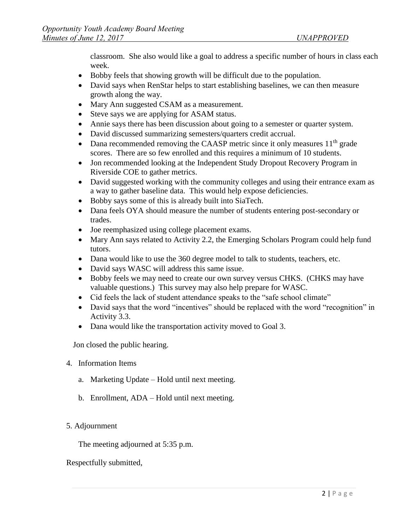classroom. She also would like a goal to address a specific number of hours in class each week.

- Bobby feels that showing growth will be difficult due to the population.
- David says when RenStar helps to start establishing baselines, we can then measure growth along the way.
- Mary Ann suggested CSAM as a measurement.
- Steve says we are applying for ASAM status.
- Annie says there has been discussion about going to a semester or quarter system.
- David discussed summarizing semesters/quarters credit accrual.
- Dana recommended removing the CAASP metric since it only measures  $11<sup>th</sup>$  grade scores. There are so few enrolled and this requires a minimum of 10 students.
- Jon recommended looking at the Independent Study Dropout Recovery Program in Riverside COE to gather metrics.
- David suggested working with the community colleges and using their entrance exam as a way to gather baseline data. This would help expose deficiencies.
- Bobby says some of this is already built into SiaTech.
- Dana feels OYA should measure the number of students entering post-secondary or trades.
- Joe reemphasized using college placement exams.
- Mary Ann says related to Activity 2.2, the Emerging Scholars Program could help fund tutors.
- Dana would like to use the 360 degree model to talk to students, teachers, etc.
- David says WASC will address this same issue.
- Bobby feels we may need to create our own survey versus CHKS. (CHKS may have valuable questions.) This survey may also help prepare for WASC.
- Cid feels the lack of student attendance speaks to the "safe school climate"
- David says that the word "incentives" should be replaced with the word "recognition" in Activity 3.3.
- Dana would like the transportation activity moved to Goal 3.

Jon closed the public hearing.

## 4. Information Items

- a. Marketing Update Hold until next meeting.
- b. Enrollment, ADA Hold until next meeting.
- 5. Adjournment

The meeting adjourned at 5:35 p.m.

## Respectfully submitted,